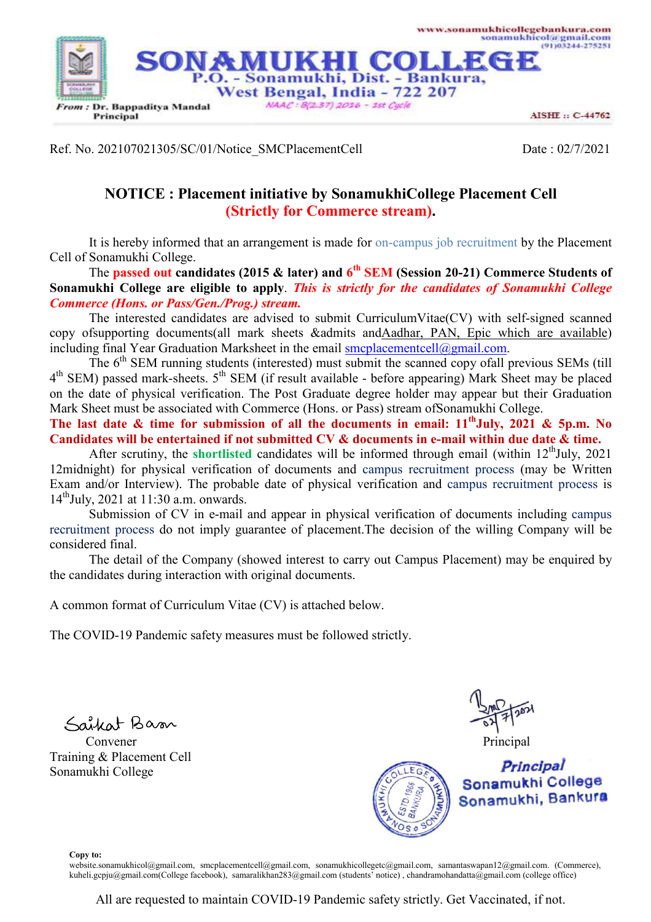

Ref. No. 202107021305/SC/01/Notice\_SMCPlacementCell Date : 02/7/2021

## **NOTICE : Placement initiative by SonamukhiCollege Placement Cell (Strictly for Commerce stream).**

It is hereby informed that an arrangement is made for on-campus job recruitment by the Placement Cell of Sonamukhi College.

The **passed out candidates (2015 & later) and 6<sup>th</sup> SEM (Session 20-21) Commerce Students of Sonamukhi College are eligible to apply**. *This is strictly for the candidates of Sonamukhi College Commerce (Hons. or Pass/Gen./Prog.) stream.*

The interested candidates are advised to submit CurriculumVitae(CV) with self-signed scanned copy of supporting documents(all mark sheets &admits andAadhar, PAN, Epic which are available) including final Year Graduation Marksheet in the email smcplacementcell $@g$ gmail.com.

The  $6<sup>th</sup>$  SEM running students (interested) must submit the scanned copy ofall previous SEMs (till 4<sup>th</sup> SEM) passed mark-sheets. 5<sup>th</sup> SEM (if result available - before appearing) Mark Sheet may be placed on the date of physical verification. The Post Graduate degree holder may appear but their Graduation Mark Sheet must be associated with Commerce (Hons. or Pass) stream ofSonamukhi College.

**The last date & time for submission of all the documents in email: 11thJuly, 2021 & 5p.m. No Candidates will be entertained if not submitted CV & documents in e-mail within due date & time.** 

After scrutiny, the **shortlisted** candidates will be informed through email (within  $12^{th}$ July, 2021) 12midnight) for physical verification of documents and campus recruitment process (may be Written Exam and/or Interview). The probable date of physical verification and campus recruitment process is  $14^{\text{th}}$ July, 2021 at 11:30 a.m. onwards.

Submission of CV in e-mail and appear in physical verification of documents including campus recruitment process do not imply guarantee of placement.The decision of the willing Company will be considered final.

The detail of the Company (showed interest to carry out Campus Placement) may be enquired by the candidates during interaction with original documents.

A common format of Curriculum Vitae (CV) is attached below.

The COVID-19 Pandemic safety measures must be followed strictly.

Salkat Basar

Convener Principal Training & Placement Cell Sonamukhi College



**Copy to:**

website.sonamukhicol@gmail.com, smcplacementcell@gmail.com, sonamukhicollegetc@gmail.com, samantaswapan12@gmail.com. (Commerce), kuheli.gcpju@gmail.com(College facebook), samaralikhan283@gmail.com (students' notice) , chandramohandatta@gmail.com (college office)

All are requested to maintain COVID-19 Pandemic safety strictly. Get Vaccinated, if not.